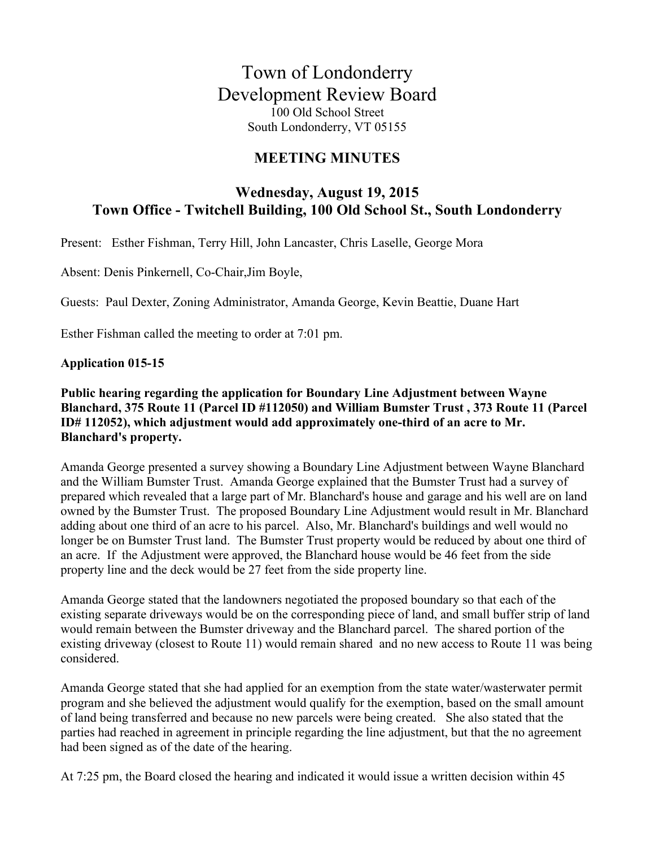# **MEETING MINUTES**

# **Wednesday, August 19, 2015 Town Office - Twitchell Building, 100 Old School St., South Londonderry**

Present: Esther Fishman, Terry Hill, John Lancaster, Chris Laselle, George Mora

Absent: Denis Pinkernell, Co-Chair,Jim Boyle,

Guests: Paul Dexter, Zoning Administrator, Amanda George, Kevin Beattie, Duane Hart

Esther Fishman called the meeting to order at 7:01 pm.

#### **Application 015-15**

### **Public hearing regarding the application for Boundary Line Adjustment between Wayne Blanchard, 375 Route 11 (Parcel ID #112050) and William Bumster Trust , 373 Route 11 (Parcel ID# 112052), which adjustment would add approximately one-third of an acre to Mr. Blanchard's property.**

Amanda George presented a survey showing a Boundary Line Adjustment between Wayne Blanchard and the William Bumster Trust. Amanda George explained that the Bumster Trust had a survey of prepared which revealed that a large part of Mr. Blanchard's house and garage and his well are on land owned by the Bumster Trust. The proposed Boundary Line Adjustment would result in Mr. Blanchard adding about one third of an acre to his parcel. Also, Mr. Blanchard's buildings and well would no longer be on Bumster Trust land. The Bumster Trust property would be reduced by about one third of an acre. If the Adjustment were approved, the Blanchard house would be 46 feet from the side property line and the deck would be 27 feet from the side property line.

Amanda George stated that the landowners negotiated the proposed boundary so that each of the existing separate driveways would be on the corresponding piece of land, and small buffer strip of land would remain between the Bumster driveway and the Blanchard parcel. The shared portion of the existing driveway (closest to Route 11) would remain shared and no new access to Route 11 was being considered.

Amanda George stated that she had applied for an exemption from the state water/wasterwater permit program and she believed the adjustment would qualify for the exemption, based on the small amount of land being transferred and because no new parcels were being created. She also stated that the parties had reached in agreement in principle regarding the line adjustment, but that the no agreement had been signed as of the date of the hearing.

At 7:25 pm, the Board closed the hearing and indicated it would issue a written decision within 45